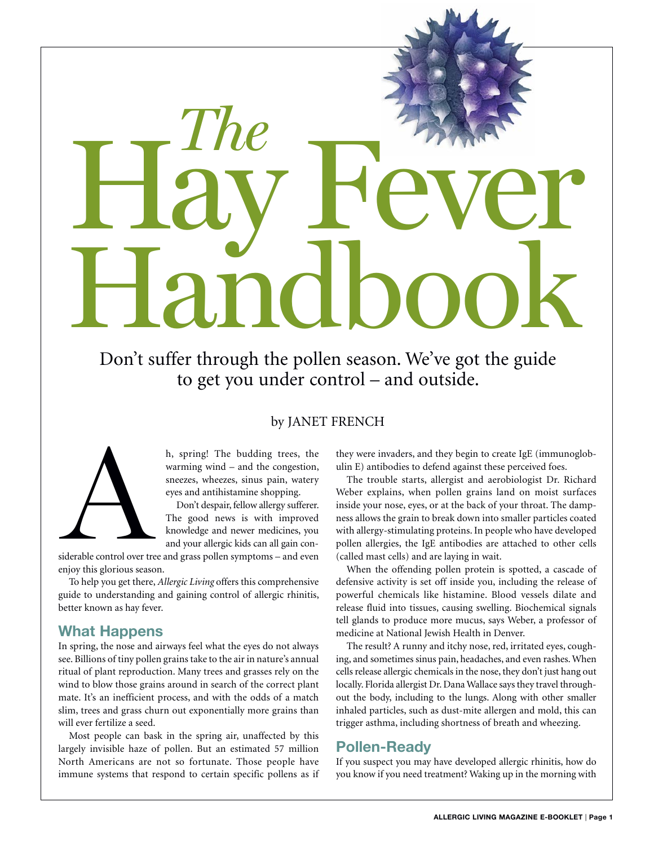# Handbook *The* HayFever

Don't suffer through the pollen season. We've got the guide to get you under control – and outside.

### by JANET FRENCH



h, spring! The budding trees, the warming wind – and the congestion, sneezes, wheezes, sinus pain, watery eyes and antihistamine shopping.

Don't despair, fellow allergy sufferer. The good news is with improved knowledge and newer medicines, you and your allergic kids can all gain con-

siderable control over tree and grass pollen symptoms – and even enjoy this glorious season.

To help you get there, *Allergic Living* offers this comprehensive guide to understanding and gaining control of allergic rhinitis, better known as hay fever.

### **What Happens**

In spring, the nose and airways feel what the eyes do not always see. Billions of tiny pollen grains take to the air in nature's annual ritual of plant reproduction. Many trees and grasses rely on the wind to blow those grains around in search of the correct plant mate. It's an inefficient process, and with the odds of a match slim, trees and grass churn out exponentially more grains than will ever fertilize a seed.

Most people can bask in the spring air, unaffected by this largely invisible haze of pollen. But an estimated 57 million North Americans are not so fortunate. Those people have immune systems that respond to certain specific pollens as if they were invaders, and they begin to create IgE (immunoglobulin E) antibodies to defend against these perceived foes.

The trouble starts, allergist and aerobiologist Dr. Richard Weber explains, when pollen grains land on moist surfaces inside your nose, eyes, or at the back of your throat. The dampness allows the grain to break down into smaller particles coated with allergy-stimulating proteins. In people who have developed pollen allergies, the IgE antibodies are attached to other cells (called mast cells) and are laying in wait.

When the offending pollen protein is spotted, a cascade of defensive activity is set off inside you, including the release of powerful chemicals like histamine. Blood vessels dilate and release fluid into tissues, causing swelling. Biochemical signals tell glands to produce more mucus, says Weber, a professor of medicine at National Jewish Health in Denver.

The result? A runny and itchy nose, red, irritated eyes, coughing, and sometimes sinus pain, headaches, and even rashes. When cells release allergic chemicals in the nose, they don't just hang out locally. Florida allergist Dr. Dana Wallace says they travel throughout the body, including to the lungs. Along with other smaller inhaled particles, such as dust-mite allergen and mold, this can trigger asthma, including shortness of breath and wheezing.

# **Pollen-Ready**

If you suspect you may have developed allergic rhinitis, how do you know if you need treatment? Waking up in the morning with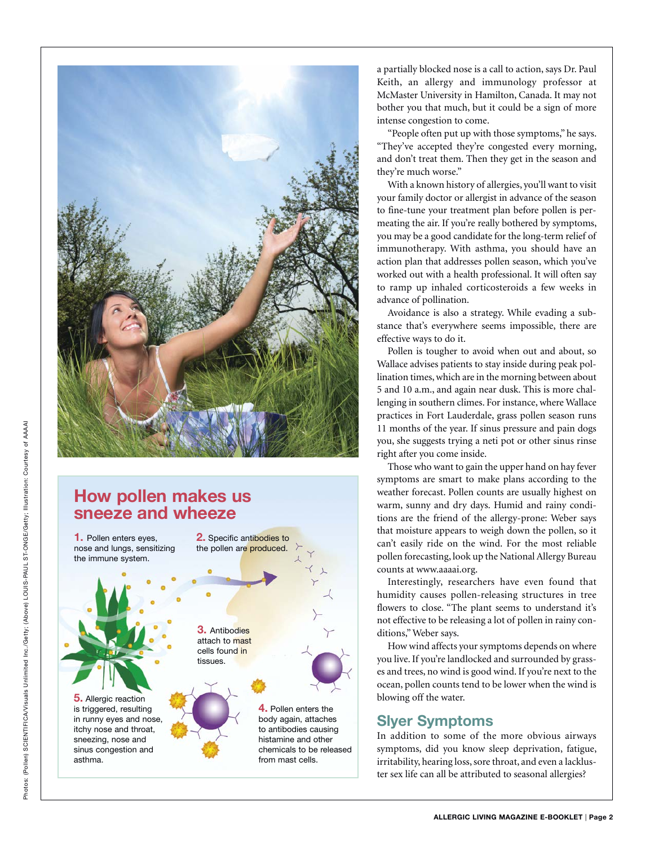

# **How pollen makes us sneeze and wheeze**



a partially blocked nose is a call to action, says Dr. Paul Keith, an allergy and immunology professor at McMaster University in Hamilton, Canada. It may not bother you that much, but it could be a sign of more intense congestion to come.

"People often put up with those symptoms," he says. "They've accepted they're congested every morning, and don't treat them. Then they get in the season and they're much worse."

With a known history of allergies, you'll want to visit your family doctor or allergist in advance of the season to fine-tune your treatment plan before pollen is permeating the air. If you're really bothered by symptoms, you may be a good candidate for the long-term relief of immunotherapy. With asthma, you should have an action plan that addresses pollen season, which you've worked out with a health professional. It will often say to ramp up inhaled corticosteroids a few weeks in advance of pollination.

Avoidance is also a strategy. While evading a substance that's everywhere seems impossible, there are effective ways to do it.

Pollen is tougher to avoid when out and about, so Wallace advises patients to stay inside during peak pollination times, which are in the morning between about 5 and 10 a.m., and again near dusk. This is more challenging in southern climes. For instance, where Wallace practices in Fort Lauderdale, grass pollen season runs 11 months of the year. If sinus pressure and pain dogs you, she suggests trying a neti pot or other sinus rinse right after you come inside.

Those who want to gain the upper hand on hay fever symptoms are smart to make plans according to the weather forecast. Pollen counts are usually highest on warm, sunny and dry days. Humid and rainy conditions are the friend of the allergy-prone: Weber says that moisture appears to weigh down the pollen, so it can't easily ride on the wind. For the most reliable pollen forecasting, look up the National Allergy Bureau counts at www.aaaai.org.

Interestingly, researchers have even found that humidity causes pollen-releasing structures in tree flowers to close. "The plant seems to understand it's not effective to be releasing a lot of pollen in rainy conditions," Weber says.

How wind affects your symptoms depends on where you live. If you're landlocked and surrounded by grasses and trees, no wind is good wind. If you're next to the ocean, pollen counts tend to be lower when the wind is blowing off the water.

# **Slyer Symptoms**

In addition to some of the more obvious airways symptoms, did you know sleep deprivation, fatigue, irritability, hearing loss, sore throat, and even a lackluster sex life can all be attributed to seasonal allergies?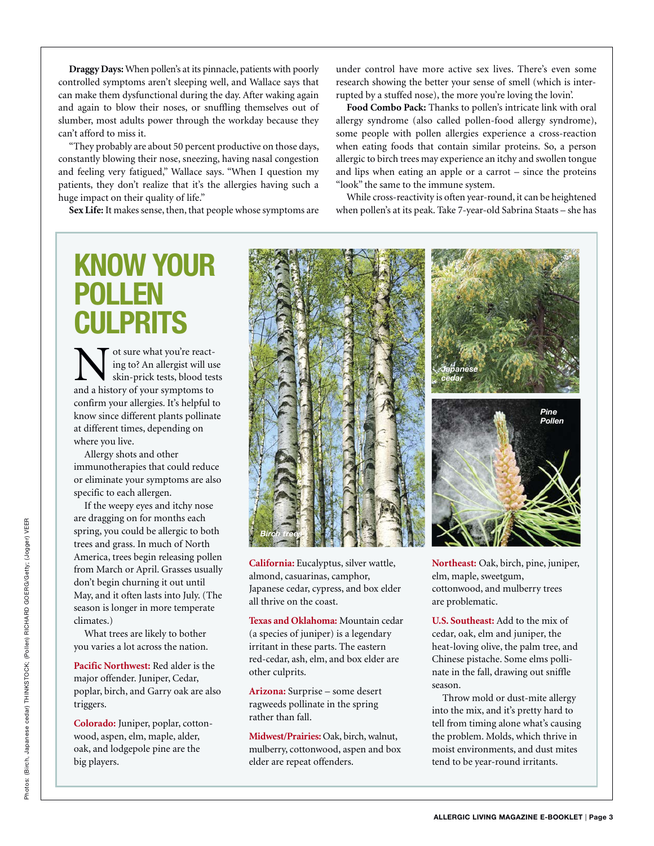**Draggy Days:** When pollen's at its pinnacle, patients with poorly controlled symptoms aren't sleeping well, and Wallace says that can make them dysfunctional during the day. After waking again and again to blow their noses, or snuffling themselves out of slumber, most adults power through the workday because they can't afford to miss it.

"They probably are about 50 percent productive on those days, constantly blowing their nose, sneezing, having nasal congestion and feeling very fatigued," Wallace says. "When I question my patients, they don't realize that it's the allergies having such a huge impact on their quality of life."

**Sex Life:** It makes sense, then, that people whose symptoms are

under control have more active sex lives. There's even some research showing the better your sense of smell (which is interrupted by a stuffed nose), the more you're loving the lovin'.

**Food Combo Pack:** Thanks to pollen's intricate link with oral allergy syndrome (also called pollen-food allergy syndrome), some people with pollen allergies experience a cross-reaction when eating foods that contain similar proteins. So, a person allergic to birch trees may experience an itchy and swollen tongue and lips when eating an apple or a carrot – since the proteins "look" the same to the immune system.

While cross-reactivity is often year-round, it can be heightened when pollen's at its peak. Take 7-year-old Sabrina Staats – she has

# **KNOW YOUR POLLEN CULPRITS**

Not sure what you're react-<br>ing to? An allergist will us<br>skin-prick tests, blood tes<br>and a history of your symptoms to ing to? An allergist will use skin-prick tests, blood tests and a history of your symptoms to confirm your allergies. It's helpful to know since different plants pollinate at different times, depending on where you live.

Allergy shots and other immunotherapies that could reduce or eliminate your symptoms are also specific to each allergen.

If the weepy eyes and itchy nose are dragging on for months each spring, you could be allergic to both trees and grass. In much of North America, trees begin releasing pollen from March or April. Grasses usually don't begin churning it out until May, and it often lasts into July. (The season is longer in more temperate climates.)

What trees are likely to bother you varies a lot across the nation.

**Pacific Northwest:** Red alder is the major offender. Juniper, Cedar, poplar, birch, and Garry oak are also triggers.

**Colorado:** Juniper, poplar, cottonwood, aspen, elm, maple, alder, oak, and lodgepole pine are the big players.



**California:** Eucalyptus, silver wattle, almond, casuarinas, camphor, Japanese cedar, cypress, and box elder all thrive on the coast.

**Texas and Oklahoma:** Mountain cedar (a species of juniper) is a legendary irritant in these parts. The eastern red-cedar, ash, elm, and box elder are other culprits.

**Arizona:** Surprise – some desert ragweeds pollinate in the spring rather than fall.

**Midwest/Prairies:** Oak, birch, walnut, mulberry, cottonwood, aspen and box elder are repeat offenders.

**Northeast:** Oak, birch, pine, juniper, elm, maple, sweetgum, cottonwood, and mulberry trees are problematic.

**U.S. Southeast:** Add to the mix of cedar, oak, elm and juniper, the heat-loving olive, the palm tree, and Chinese pistache. Some elms pollinate in the fall, drawing out sniffle season.

Throw mold or dust-mite allergy into the mix, and it's pretty hard to tell from timing alone what's causing the problem. Molds, which thrive in moist environments, and dust mites tend to be year-round irritants.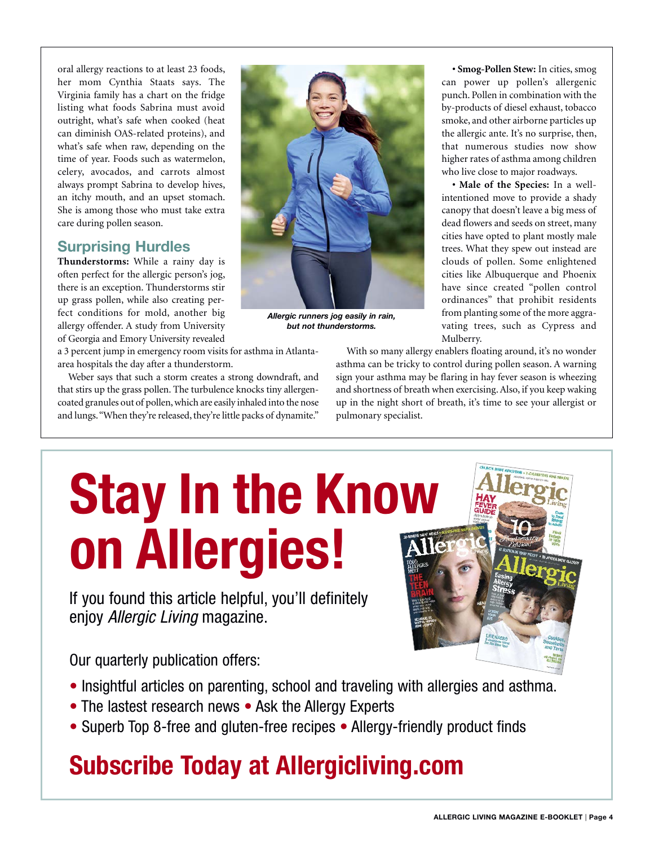oral allergy reactions to at least 23 foods, her mom Cynthia Staats says. The Virginia family has a chart on the fridge listing what foods Sabrina must avoid outright, what's safe when cooked (heat can diminish OAS-related proteins), and what's safe when raw, depending on the time of year. Foods such as watermelon, celery, avocados, and carrots almost always prompt Sabrina to develop hives, an itchy mouth, and an upset stomach. She is among those who must take extra care during pollen season.

# **Surprising Hurdles**

**Thunderstorms:** While a rainy day is often perfect for the allergic person's jog, there is an exception. Thunderstorms stir up grass pollen, while also creating perfect conditions for mold, another big allergy offender. A study from University of Georgia and Emory University revealed

a 3 percent jump in emergency room visits for asthma in Atlantaarea hospitals the day after a thunderstorm.

Weber says that such a storm creates a strong downdraft, and that stirs up the grass pollen. The turbulence knocks tiny allergencoated granules out of pollen, which are easily inhaled into the nose and lungs. "When they're released, they're little packs of dynamite."



*Allergic runners jog easily in rain, but not thunderstorms.*

**• Smog-Pollen Stew:** In cities, smog can power up pollen's allergenic punch. Pollen in combination with the by-products of diesel exhaust, tobacco smoke, and other airborne particles up the allergic ante. It's no surprise, then, that numerous studies now show higher rates of asthma among children who live close to major roadways.

**• Male of the Species:** In a wellintentioned move to provide a shady canopy that doesn't leave a big mess of dead flowers and seeds on street, many cities have opted to plant mostly male trees. What they spew out instead are clouds of pollen. Some enlightened cities like Albuquerque and Phoenix have since created "pollen control ordinances" that prohibit residents from planting some of the more aggravating trees, such as Cypress and Mulberry.

With so many allergy enablers floating around, it's no wonder asthma can be tricky to control during pollen season. A warning sign your asthma may be flaring in hay fever season is wheezing and shortness of breath when exercising. Also, if you keep waking up in the night short of breath, it's time to see your allergist or pulmonary specialist.

# **[Stay In the Know](https://allergicliving.com/get-allergic-living/?mod=home&act=US)  on Allergies!**

If you found this article helpful, you'll definitely enjoy *Allergic Living* magazine.

Our quarterly publication offers:

- Insightful articles on parenting, school and traveling with allergies and asthma.
- The lastest research news Ask the Allergy Experts
- Superb Top 8-free and gluten-free recipes Allergy-friendly product finds

# **Subscribe Today at Allergicliving.com**